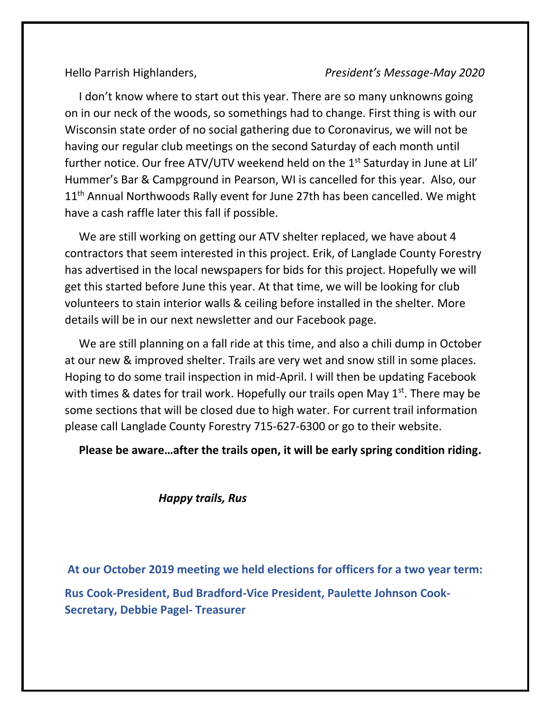## Hello Parrish Highlanders, *President's Message-May 2020*

 I don't know where to start out this year. There are so many unknowns going on in our neck of the woods, so somethings had to change. First thing is with our Wisconsin state order of no social gathering due to Coronavirus, we will not be having our regular club meetings on the second Saturday of each month until further notice. Our free ATV/UTV weekend held on the  $1<sup>st</sup>$  Saturday in June at Lil' Hummer's Bar & Campground in Pearson, WI is cancelled for this year. Also, our 11<sup>th</sup> Annual Northwoods Rally event for June 27th has been cancelled. We might have a cash raffle later this fall if possible.

 We are still working on getting our ATV shelter replaced, we have about 4 contractors that seem interested in this project. Erik, of Langlade County Forestry has advertised in the local newspapers for bids for this project. Hopefully we will get this started before June this year. At that time, we will be looking for club volunteers to stain interior walls & ceiling before installed in the shelter. More details will be in our next newsletter and our Facebook page.

 We are still planning on a fall ride at this time, and also a chili dump in October at our new & improved shelter. Trails are very wet and snow still in some places. Hoping to do some trail inspection in mid-April. I will then be updating Facebook with times & dates for trail work. Hopefully our trails open May 1<sup>st</sup>. There may be some sections that will be closed due to high water. For current trail information please call Langlade County Forestry 715-627-6300 or go to their website.

**Please be aware…after the trails open, it will be early spring condition riding.**

## *Happy trails, Rus*

**At our October 2019 meeting we held elections for officers for a two year term:** 

**Rus Cook-President, Bud Bradford-Vice President, Paulette Johnson Cook-Secretary, Debbie Pagel- Treasurer**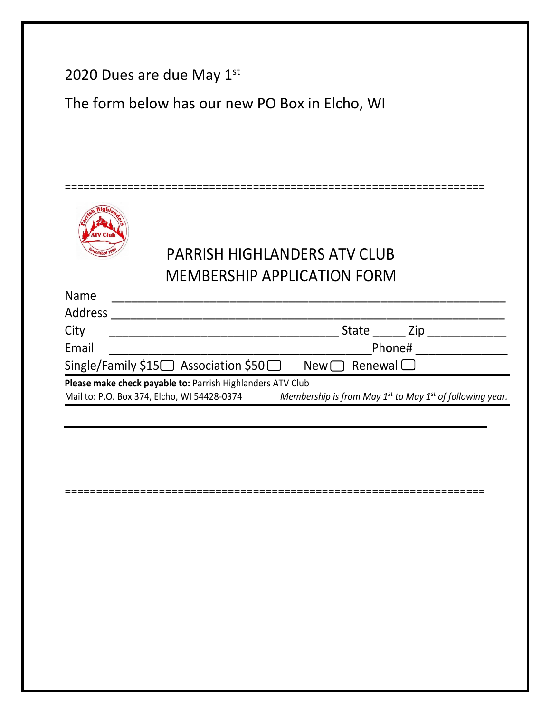|             | 2020 Dues are due May $1st$<br>The form below has our new PO Box in Elcho, WI                                                                                                |
|-------------|------------------------------------------------------------------------------------------------------------------------------------------------------------------------------|
|             |                                                                                                                                                                              |
|             |                                                                                                                                                                              |
|             |                                                                                                                                                                              |
|             |                                                                                                                                                                              |
|             | <b>PARRISH HIGHLANDERS ATV CLUB</b>                                                                                                                                          |
|             | <b>MEMBERSHIP APPLICATION FORM</b>                                                                                                                                           |
| <b>Name</b> |                                                                                                                                                                              |
| Address     |                                                                                                                                                                              |
| City        | State ______ Zip _____________                                                                                                                                               |
| Email       | Phone# and a series of the series of the series of the series of the series of the series of the series of the                                                               |
|             | Single/Family \$15 $\Box$ Association \$50 $\Box$ New $\Box$ Renewal $\Box$                                                                                                  |
|             | Please make check payable to: Parrish Highlanders ATV Club<br>Mail to: P.O. Box 374, Elcho, WI 54428-0374 Membership is from May $1^{st}$ to May $1^{st}$ of following year. |
|             |                                                                                                                                                                              |
|             |                                                                                                                                                                              |
|             |                                                                                                                                                                              |
|             |                                                                                                                                                                              |
|             |                                                                                                                                                                              |
|             |                                                                                                                                                                              |
|             |                                                                                                                                                                              |
|             |                                                                                                                                                                              |